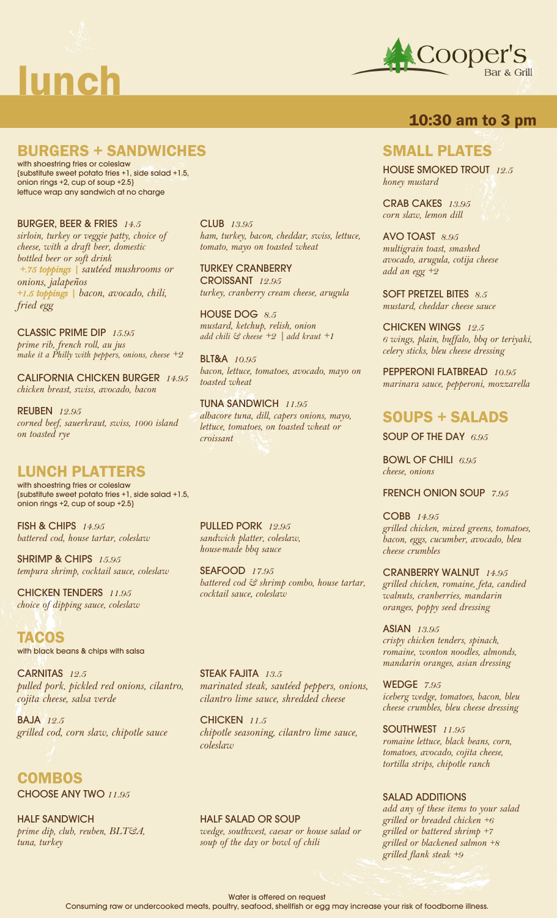



## **10:30 am to 3 pm**

# **BURGERS + SANDWICHES**

with shoestring fries or coleslaw {substitute sweet potato fries +1, side salad +1.5, onion rings +2, cup of soup +2.5} lettuce wrap any sandwich at no charge

BURGER, BEER & FRIES *14.5 sirloin, turkey or veggie patty, choice of cheese, with a draft beer, domestic bottled beer or soft drink +.75 toppings | sautéed mushrooms or onions, jalapeños +1.5 toppings | bacon, avocado, chili, fried egg* 

CLASSIC PRIME DIP *15.95 prime rib, french roll, au jus make it a Philly with peppers, onions, cheese +2*

CALIFORNIA CHICKEN BURGER *14.95 chicken breast, swiss, avocado, bacon*

REUBEN *12.95 corned beef, sauerkraut, swiss, 1000 island on toasted rye*

# **LUNCH PLATTERS**

with shoestring fries or coleslaw {substitute sweet potato fries +1, side salad +1.5, onion rings +2, cup of soup +2.5}

FISH & CHIPS *14.95 battered cod, house tartar, coleslaw*

SHRIMP & CHIPS *15.95 tempura shrimp, cocktail sauce, coleslaw*

CHICKEN TENDERS *11.95 choice of dipping sauce, coleslaw*

**TACOS** with black beans & chips with salsa

CARNITAS *12.5 pulled pork, pickled red onions, cilantro, cojita cheese, salsa verde*

BAJA *12.5 grilled cod, corn slaw, chipotle sauce*

**COMBOS** CHOOSE ANY TWO *11.95*

HALF SANDWICH *prime dip, club, reuben, BLT&A, tuna, turkey*

CLUB *13.95 ham, turkey, bacon, cheddar, swiss, lettuce, tomato, mayo on toasted wheat*

TURKEY CRANBERRY CROISSANT *12.95 turkey, cranberry cream cheese, arugula*

HOUSE DOG *8.5 mustard, ketchup, relish, onion add chili & cheese +2 | add kraut +1*

BLT&A *10.95 bacon, lettuce, tomatoes, avocado, mayo on toasted wheat*

TUNA SANDWICH *11.95 albacore tuna, dill, capers onions, mayo, lettuce, tomatoes, on toasted wheat or croissant*

PULLED PORK *12.95 sandwich platter, coleslaw, house-made bbq sauce*

SEAFOOD *17.95 battered cod & shrimp combo, house tartar, cocktail sauce, coleslaw*

STEAK FAJITA *13.5 marinated steak, sautéed peppers, onions, cilantro lime sauce, shredded cheese*

CHICKEN *11.5 chipotle seasoning, cilantro lime sauce, coleslaw*

HALF SALAD OR SOUP *wedge, southwest, caesar or house salad or soup of the day or bowl of chili*

### **SMALL PLATES**

HOUSE SMOKED TROUT *12.5 honey mustard*

CRAB CAKES *13.95 corn slaw, lemon dill*

AVO TOAST *8.95 multigrain toast, smashed avocado, arugula, cotija cheese add an egg +2*

SOFT PRETZEL BITES *8.5 mustard, cheddar cheese sauce*

CHICKEN WINGS *12.5 6 wings, plain, buffalo, bbq or teriyaki, celery sticks, bleu cheese dressing*

PEPPERONI FLATBREAD *10.95 marinara sauce, pepperoni, mozzarella*

# **SOUPS + SALADS**

SOUP OF THE DAY *6.95*

BOWL OF CHILI *6.95 cheese, onions*

FRENCH ONION SOUP *7.95*

COBB *14.95 grilled chicken, mixed greens, tomatoes, bacon, eggs, cucumber, avocado, bleu cheese crumbles*

CRANBERRY WALNUT *14.95 grilled chicken, romaine, feta, candied walnuts, cranberries, mandarin oranges, poppy seed dressing*

ASIAN *13.95 crispy chicken tenders, spinach, romaine, wonton noodles, almonds, mandarin oranges, asian dressing*

WEDGE *7.95 iceberg wedge, tomatoes, bacon, bleu cheese crumbles, bleu cheese dressing*

SOUTHWEST **11.95** *romaine lettuce, black beans, corn, tomatoes, avocado, cojita cheese, tortilla strips, chipotle ranch*

#### SALAD ADDITIONS

*add any of these items to your salad grilled or breaded chicken +6 grilled or battered shrimp +7 grilled or blackened salmon +8 grilled flank steak +9*

Water is offered on request

Consuming raw or undercooked meats, poultry, seafood, shellfish or egg may increase your risk of foodborne illness.